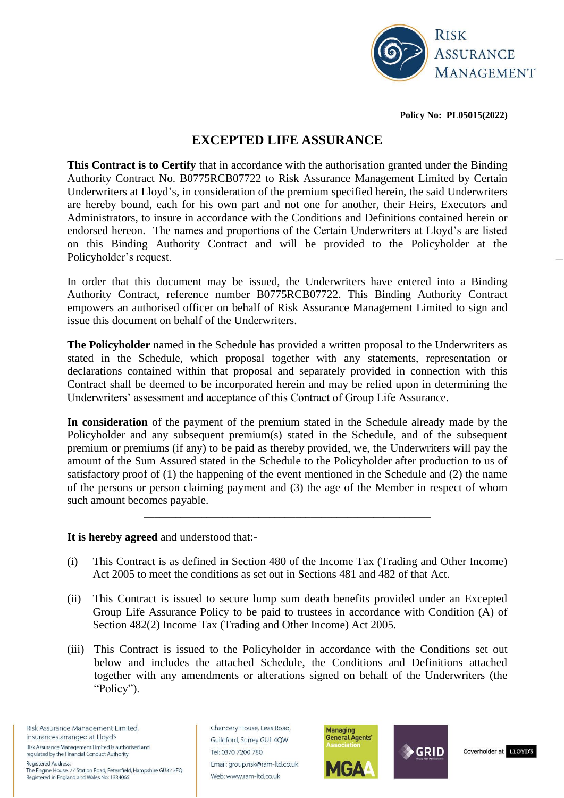

**Policy No: PL05015(2022)**

# **EXCEPTED LIFE ASSURANCE**

**This Contract is to Certify** that in accordance with the authorisation granted under the Binding Authority Contract No. B0775RCB07722 to Risk Assurance Management Limited by Certain Underwriters at Lloyd's, in consideration of the premium specified herein, the said Underwriters are hereby bound, each for his own part and not one for another, their Heirs, Executors and Administrators, to insure in accordance with the Conditions and Definitions contained herein or endorsed hereon. The names and proportions of the Certain Underwriters at Lloyd's are listed on this Binding Authority Contract and will be provided to the Policyholder at the Policyholder's request.

In order that this document may be issued, the Underwriters have entered into a Binding Authority Contract, reference number B0775RCB07722. This Binding Authority Contract empowers an authorised officer on behalf of Risk Assurance Management Limited to sign and issue this document on behalf of the Underwriters.

**The Policyholder** named in the Schedule has provided a written proposal to the Underwriters as stated in the Schedule, which proposal together with any statements, representation or declarations contained within that proposal and separately provided in connection with this Contract shall be deemed to be incorporated herein and may be relied upon in determining the Underwriters' assessment and acceptance of this Contract of Group Life Assurance.

**In consideration** of the payment of the premium stated in the Schedule already made by the Policyholder and any subsequent premium(s) stated in the Schedule, and of the subsequent premium or premiums (if any) to be paid as thereby provided, we, the Underwriters will pay the amount of the Sum Assured stated in the Schedule to the Policyholder after production to us of satisfactory proof of (1) the happening of the event mentioned in the Schedule and (2) the name of the persons or person claiming payment and (3) the age of the Member in respect of whom such amount becomes payable.

**It is hereby agreed** and understood that:-

(i) This Contract is as defined in Section 480 of the Income Tax (Trading and Other Income) Act 2005 to meet the conditions as set out in Sections 481 and 482 of that Act.

**\_\_\_\_\_\_\_\_\_\_\_\_\_\_\_\_\_\_\_\_\_\_\_\_\_\_\_\_\_\_\_\_\_\_\_\_\_\_\_\_\_\_\_\_\_\_\_\_\_\_\_\_\_\_\_**

- (ii) This Contract is issued to secure lump sum death benefits provided under an Excepted Group Life Assurance Policy to be paid to trustees in accordance with Condition (A) of Section 482(2) Income Tax (Trading and Other Income) Act 2005.
- (iii) This Contract is issued to the Policyholder in accordance with the Conditions set out below and includes the attached Schedule, the Conditions and Definitions attached together with any amendments or alterations signed on behalf of the Underwriters (the "Policy").

Risk Assurance Management Limited, insurances arranged at Lloyd's Risk Assurance Management Limited is authorised and regulated by the Financial Conduct Authority **Registered Address:** The Engine House, 77 Station Road, Petersfield, Hampshire GU32 3FQ

Registered in England and Wales No: 1334065

Chancery House, Leas Road, Guildford, Surrey GU1 4QW Tel: 0370 7200 780 Email: group.risk@ram-ltd.co.uk Web: www.ram-ltd.co.uk





Coverholder at LLOYD'S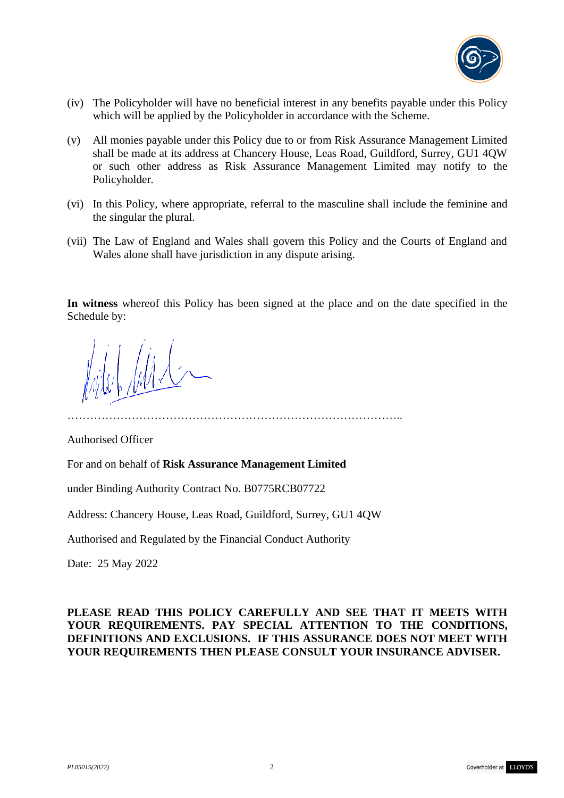

- (iv) The Policyholder will have no beneficial interest in any benefits payable under this Policy which will be applied by the Policyholder in accordance with the Scheme.
- (v) All monies payable under this Policy due to or from Risk Assurance Management Limited shall be made at its address at Chancery House, Leas Road, Guildford, Surrey, GU1 4QW or such other address as Risk Assurance Management Limited may notify to the Policyholder.
- (vi) In this Policy, where appropriate, referral to the masculine shall include the feminine and the singular the plural.
- (vii) The Law of England and Wales shall govern this Policy and the Courts of England and Wales alone shall have jurisdiction in any dispute arising.

**In witness** whereof this Policy has been signed at the place and on the date specified in the Schedule by:

……………………………………………………………………………..

Authorised Officer

For and on behalf of **Risk Assurance Management Limited** 

under Binding Authority Contract No. B0775RCB07722

Address: Chancery House, Leas Road, Guildford, Surrey, GU1 4QW

Authorised and Regulated by the Financial Conduct Authority

Date: 25 May 2022

### **PLEASE READ THIS POLICY CAREFULLY AND SEE THAT IT MEETS WITH YOUR REQUIREMENTS. PAY SPECIAL ATTENTION TO THE CONDITIONS, DEFINITIONS AND EXCLUSIONS. IF THIS ASSURANCE DOES NOT MEET WITH YOUR REQUIREMENTS THEN PLEASE CONSULT YOUR INSURANCE ADVISER.**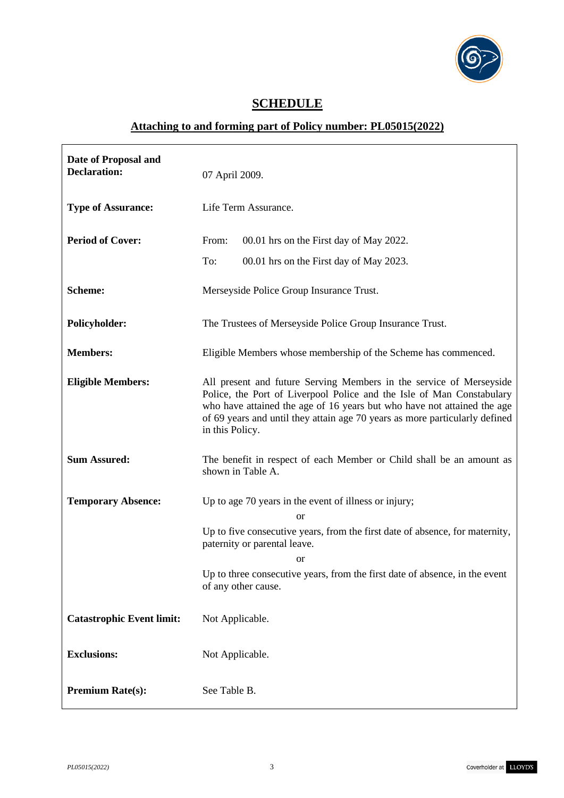

٦

# **SCHEDULE**

# **Attaching to and forming part of Policy number: PL05015(2022)**

| Date of Proposal and<br><b>Declaration:</b> | 07 April 2009.                                                                                                                                                                                                                                                                                                            |
|---------------------------------------------|---------------------------------------------------------------------------------------------------------------------------------------------------------------------------------------------------------------------------------------------------------------------------------------------------------------------------|
| <b>Type of Assurance:</b>                   | Life Term Assurance.                                                                                                                                                                                                                                                                                                      |
| <b>Period of Cover:</b>                     | From:<br>00.01 hrs on the First day of May 2022.                                                                                                                                                                                                                                                                          |
|                                             | To:<br>00.01 hrs on the First day of May 2023.                                                                                                                                                                                                                                                                            |
| <b>Scheme:</b>                              | Merseyside Police Group Insurance Trust.                                                                                                                                                                                                                                                                                  |
| Policyholder:                               | The Trustees of Merseyside Police Group Insurance Trust.                                                                                                                                                                                                                                                                  |
| <b>Members:</b>                             | Eligible Members whose membership of the Scheme has commenced.                                                                                                                                                                                                                                                            |
| <b>Eligible Members:</b>                    | All present and future Serving Members in the service of Merseyside<br>Police, the Port of Liverpool Police and the Isle of Man Constabulary<br>who have attained the age of 16 years but who have not attained the age<br>of 69 years and until they attain age 70 years as more particularly defined<br>in this Policy. |
| <b>Sum Assured:</b>                         | The benefit in respect of each Member or Child shall be an amount as<br>shown in Table A.                                                                                                                                                                                                                                 |
| <b>Temporary Absence:</b>                   | Up to age 70 years in the event of illness or injury;                                                                                                                                                                                                                                                                     |
|                                             | <sub>or</sub><br>Up to five consecutive years, from the first date of absence, for maternity,<br>paternity or parental leave.                                                                                                                                                                                             |
|                                             | or<br>Up to three consecutive years, from the first date of absence, in the event<br>of any other cause.                                                                                                                                                                                                                  |
| <b>Catastrophic Event limit:</b>            | Not Applicable.                                                                                                                                                                                                                                                                                                           |
| <b>Exclusions:</b>                          | Not Applicable.                                                                                                                                                                                                                                                                                                           |
| <b>Premium Rate(s):</b>                     | See Table B.                                                                                                                                                                                                                                                                                                              |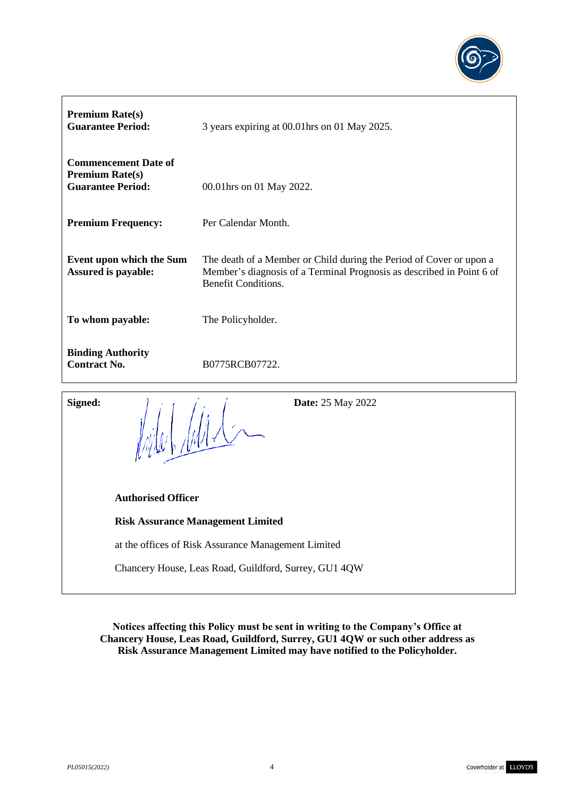

| <b>Premium Rate(s)</b><br><b>Guarantee Period:</b>                                | 3 years expiring at 00.01 hrs on 01 May 2025.                                                                                                                              |
|-----------------------------------------------------------------------------------|----------------------------------------------------------------------------------------------------------------------------------------------------------------------------|
| <b>Commencement Date of</b><br><b>Premium Rate(s)</b><br><b>Guarantee Period:</b> | 00.01 hrs on 01 May 2022.                                                                                                                                                  |
| <b>Premium Frequency:</b>                                                         | Per Calendar Month.                                                                                                                                                        |
| Event upon which the Sum<br><b>Assured is payable:</b>                            | The death of a Member or Child during the Period of Cover or upon a<br>Member's diagnosis of a Terminal Prognosis as described in Point 6 of<br><b>Benefit Conditions.</b> |
| To whom payable:                                                                  | The Policyholder.                                                                                                                                                          |
| <b>Binding Authority</b><br><b>Contract No.</b>                                   | B0775RCB07722.                                                                                                                                                             |
| Signed:<br>$\mathcal{L} \cdot \mathbf{t} = \mathcal{L} \cdot \mathbf{t}$          | <b>Date:</b> 25 May 2022                                                                                                                                                   |

**Signed: Date:** 25 May 2022

 **Authorised Officer**

**Risk Assurance Management Limited** 

at the offices of Risk Assurance Management Limited

Chancery House, Leas Road, Guildford, Surrey, GU1 4QW

**Notices affecting this Policy must be sent in writing to the Company's Office at Chancery House, Leas Road, Guildford, Surrey, GU1 4QW or such other address as Risk Assurance Management Limited may have notified to the Policyholder.**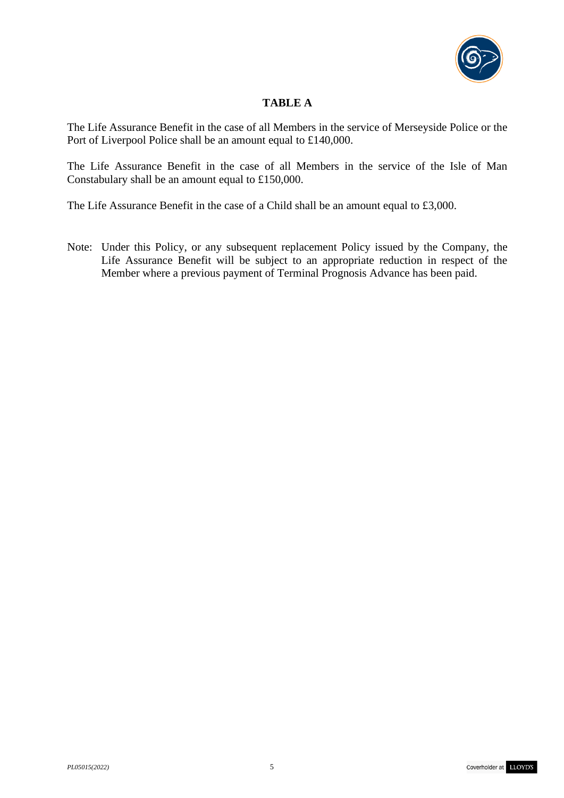

# **TABLE A**

The Life Assurance Benefit in the case of all Members in the service of Merseyside Police or the Port of Liverpool Police shall be an amount equal to £140,000.

The Life Assurance Benefit in the case of all Members in the service of the Isle of Man Constabulary shall be an amount equal to £150,000.

The Life Assurance Benefit in the case of a Child shall be an amount equal to £3,000.

Note: Under this Policy, or any subsequent replacement Policy issued by the Company, the Life Assurance Benefit will be subject to an appropriate reduction in respect of the Member where a previous payment of Terminal Prognosis Advance has been paid.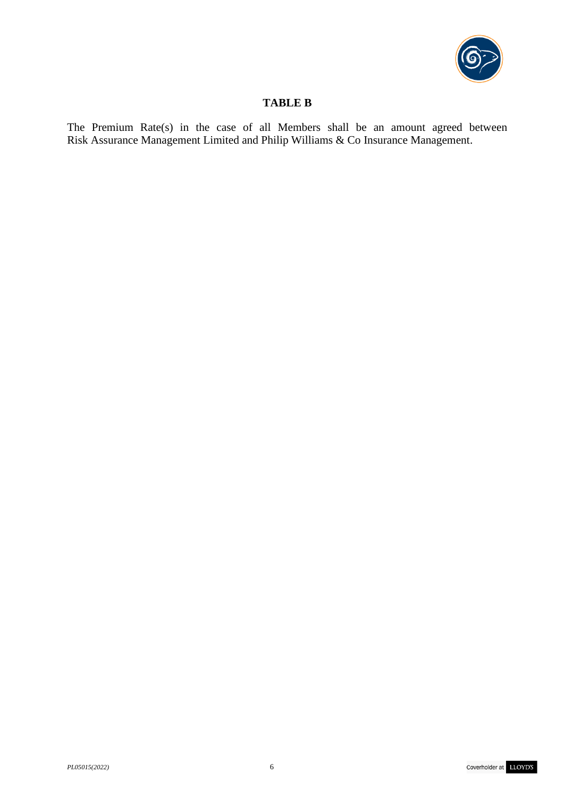

# **TABLE B**

The Premium Rate(s) in the case of all Members shall be an amount agreed between Risk Assurance Management Limited and Philip Williams & Co Insurance Management.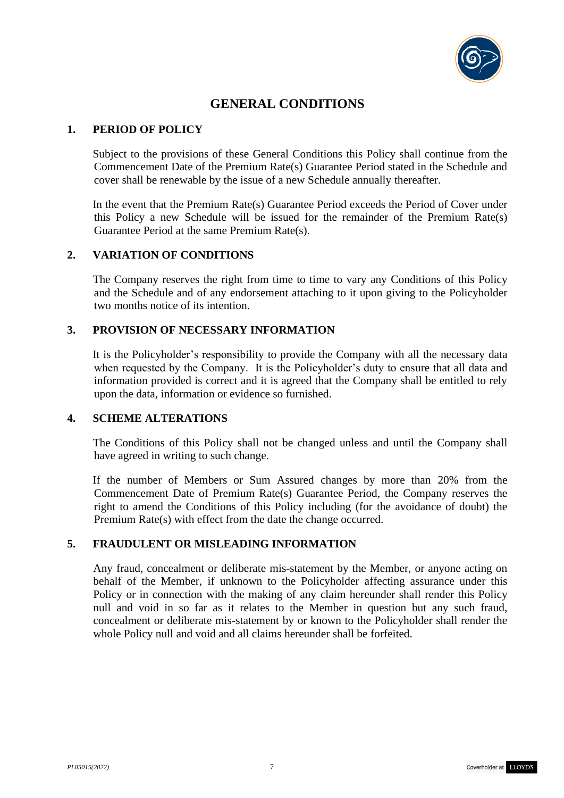

# **GENERAL CONDITIONS**

### **1. PERIOD OF POLICY**

Subject to the provisions of these General Conditions this Policy shall continue from the Commencement Date of the Premium Rate(s) Guarantee Period stated in the Schedule and cover shall be renewable by the issue of a new Schedule annually thereafter.

In the event that the Premium Rate(s) Guarantee Period exceeds the Period of Cover under this Policy a new Schedule will be issued for the remainder of the Premium Rate(s) Guarantee Period at the same Premium Rate(s).

#### **2. VARIATION OF CONDITIONS**

The Company reserves the right from time to time to vary any Conditions of this Policy and the Schedule and of any endorsement attaching to it upon giving to the Policyholder two months notice of its intention.

#### **3. PROVISION OF NECESSARY INFORMATION**

It is the Policyholder's responsibility to provide the Company with all the necessary data when requested by the Company. It is the Policyholder's duty to ensure that all data and information provided is correct and it is agreed that the Company shall be entitled to rely upon the data, information or evidence so furnished.

#### **4. SCHEME ALTERATIONS**

The Conditions of this Policy shall not be changed unless and until the Company shall have agreed in writing to such change.

If the number of Members or Sum Assured changes by more than 20% from the Commencement Date of Premium Rate(s) Guarantee Period, the Company reserves the right to amend the Conditions of this Policy including (for the avoidance of doubt) the Premium Rate(s) with effect from the date the change occurred.

### **5. FRAUDULENT OR MISLEADING INFORMATION**

Any fraud, concealment or deliberate mis-statement by the Member, or anyone acting on behalf of the Member, if unknown to the Policyholder affecting assurance under this Policy or in connection with the making of any claim hereunder shall render this Policy null and void in so far as it relates to the Member in question but any such fraud, concealment or deliberate mis-statement by or known to the Policyholder shall render the whole Policy null and void and all claims hereunder shall be forfeited.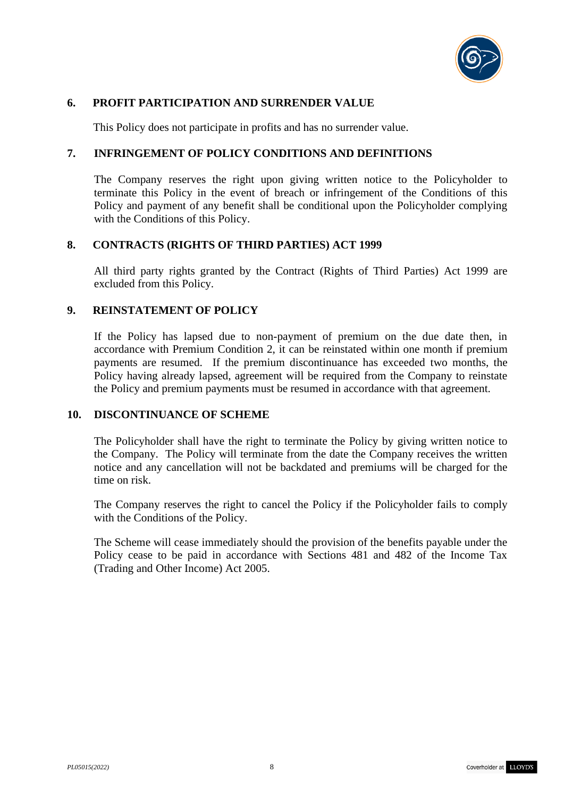

#### **6. PROFIT PARTICIPATION AND SURRENDER VALUE**

This Policy does not participate in profits and has no surrender value.

#### **7. INFRINGEMENT OF POLICY CONDITIONS AND DEFINITIONS**

The Company reserves the right upon giving written notice to the Policyholder to terminate this Policy in the event of breach or infringement of the Conditions of this Policy and payment of any benefit shall be conditional upon the Policyholder complying with the Conditions of this Policy.

#### **8. CONTRACTS (RIGHTS OF THIRD PARTIES) ACT 1999**

All third party rights granted by the Contract (Rights of Third Parties) Act 1999 are excluded from this Policy.

#### **9. REINSTATEMENT OF POLICY**

If the Policy has lapsed due to non-payment of premium on the due date then, in accordance with Premium Condition 2, it can be reinstated within one month if premium payments are resumed. If the premium discontinuance has exceeded two months, the Policy having already lapsed, agreement will be required from the Company to reinstate the Policy and premium payments must be resumed in accordance with that agreement.

#### **10. DISCONTINUANCE OF SCHEME**

The Policyholder shall have the right to terminate the Policy by giving written notice to the Company. The Policy will terminate from the date the Company receives the written notice and any cancellation will not be backdated and premiums will be charged for the time on risk.

The Company reserves the right to cancel the Policy if the Policyholder fails to comply with the Conditions of the Policy.

The Scheme will cease immediately should the provision of the benefits payable under the Policy cease to be paid in accordance with Sections 481 and 482 of the Income Tax (Trading and Other Income) Act 2005.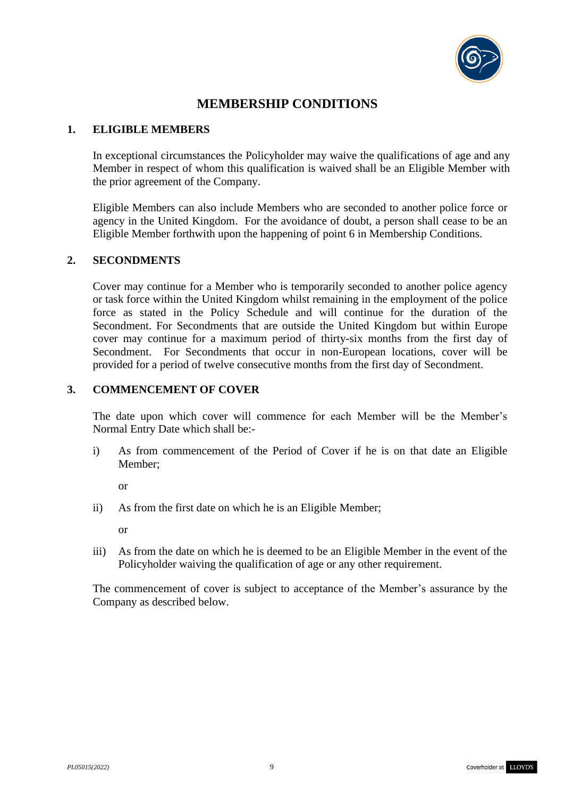

# **MEMBERSHIP CONDITIONS**

### **1. ELIGIBLE MEMBERS**

In exceptional circumstances the Policyholder may waive the qualifications of age and any Member in respect of whom this qualification is waived shall be an Eligible Member with the prior agreement of the Company.

Eligible Members can also include Members who are seconded to another police force or agency in the United Kingdom. For the avoidance of doubt, a person shall cease to be an Eligible Member forthwith upon the happening of point 6 in Membership Conditions.

# **2. SECONDMENTS**

Cover may continue for a Member who is temporarily seconded to another police agency or task force within the United Kingdom whilst remaining in the employment of the police force as stated in the Policy Schedule and will continue for the duration of the Secondment. For Secondments that are outside the United Kingdom but within Europe cover may continue for a maximum period of thirty-six months from the first day of Secondment. For Secondments that occur in non-European locations, cover will be provided for a period of twelve consecutive months from the first day of Secondment.

# **3. COMMENCEMENT OF COVER**

The date upon which cover will commence for each Member will be the Member's Normal Entry Date which shall be:-

i) As from commencement of the Period of Cover if he is on that date an Eligible Member;

or

ii) As from the first date on which he is an Eligible Member;

or

iii) As from the date on which he is deemed to be an Eligible Member in the event of the Policyholder waiving the qualification of age or any other requirement.

The commencement of cover is subject to acceptance of the Member's assurance by the Company as described below.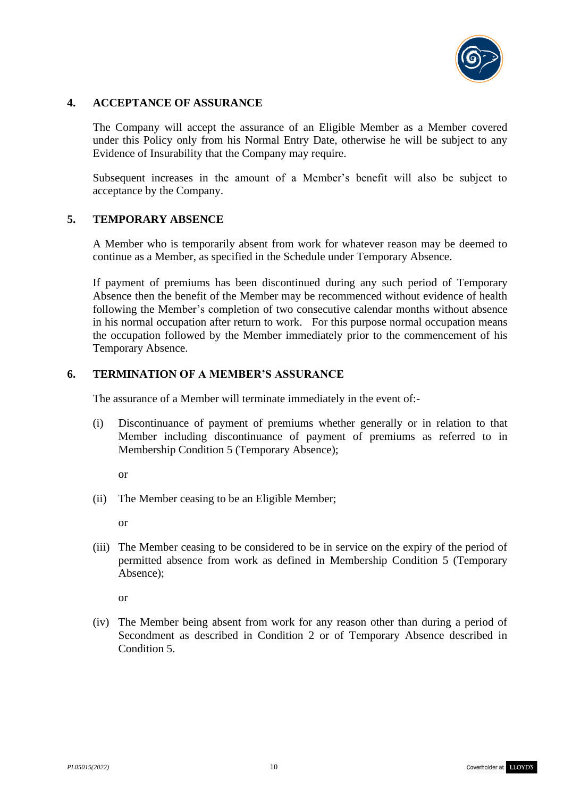

### **4. ACCEPTANCE OF ASSURANCE**

The Company will accept the assurance of an Eligible Member as a Member covered under this Policy only from his Normal Entry Date, otherwise he will be subject to any Evidence of Insurability that the Company may require.

Subsequent increases in the amount of a Member's benefit will also be subject to acceptance by the Company.

#### **5. TEMPORARY ABSENCE**

A Member who is temporarily absent from work for whatever reason may be deemed to continue as a Member, as specified in the Schedule under Temporary Absence.

If payment of premiums has been discontinued during any such period of Temporary Absence then the benefit of the Member may be recommenced without evidence of health following the Member's completion of two consecutive calendar months without absence in his normal occupation after return to work. For this purpose normal occupation means the occupation followed by the Member immediately prior to the commencement of his Temporary Absence.

# **6. TERMINATION OF A MEMBER'S ASSURANCE**

The assurance of a Member will terminate immediately in the event of:-

- (i) Discontinuance of payment of premiums whether generally or in relation to that Member including discontinuance of payment of premiums as referred to in Membership Condition 5 (Temporary Absence);
	- or
- (ii) The Member ceasing to be an Eligible Member;

or

(iii) The Member ceasing to be considered to be in service on the expiry of the period of permitted absence from work as defined in Membership Condition 5 (Temporary Absence);

or

(iv) The Member being absent from work for any reason other than during a period of Secondment as described in Condition 2 or of Temporary Absence described in Condition 5.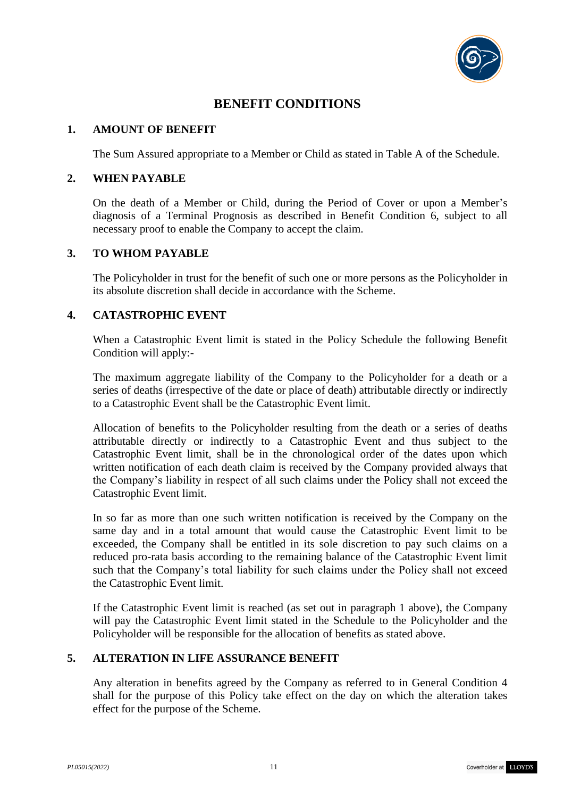

# **BENEFIT CONDITIONS**

### **1. AMOUNT OF BENEFIT**

The Sum Assured appropriate to a Member or Child as stated in Table A of the Schedule.

### **2. WHEN PAYABLE**

On the death of a Member or Child, during the Period of Cover or upon a Member's diagnosis of a Terminal Prognosis as described in Benefit Condition 6, subject to all necessary proof to enable the Company to accept the claim.

#### **3. TO WHOM PAYABLE**

The Policyholder in trust for the benefit of such one or more persons as the Policyholder in its absolute discretion shall decide in accordance with the Scheme.

# **4. CATASTROPHIC EVENT**

When a Catastrophic Event limit is stated in the Policy Schedule the following Benefit Condition will apply:-

The maximum aggregate liability of the Company to the Policyholder for a death or a series of deaths (irrespective of the date or place of death) attributable directly or indirectly to a Catastrophic Event shall be the Catastrophic Event limit.

Allocation of benefits to the Policyholder resulting from the death or a series of deaths attributable directly or indirectly to a Catastrophic Event and thus subject to the Catastrophic Event limit, shall be in the chronological order of the dates upon which written notification of each death claim is received by the Company provided always that the Company's liability in respect of all such claims under the Policy shall not exceed the Catastrophic Event limit.

In so far as more than one such written notification is received by the Company on the same day and in a total amount that would cause the Catastrophic Event limit to be exceeded, the Company shall be entitled in its sole discretion to pay such claims on a reduced pro-rata basis according to the remaining balance of the Catastrophic Event limit such that the Company's total liability for such claims under the Policy shall not exceed the Catastrophic Event limit.

If the Catastrophic Event limit is reached (as set out in paragraph 1 above), the Company will pay the Catastrophic Event limit stated in the Schedule to the Policyholder and the Policyholder will be responsible for the allocation of benefits as stated above.

# **5. ALTERATION IN LIFE ASSURANCE BENEFIT**

Any alteration in benefits agreed by the Company as referred to in General Condition 4 shall for the purpose of this Policy take effect on the day on which the alteration takes effect for the purpose of the Scheme.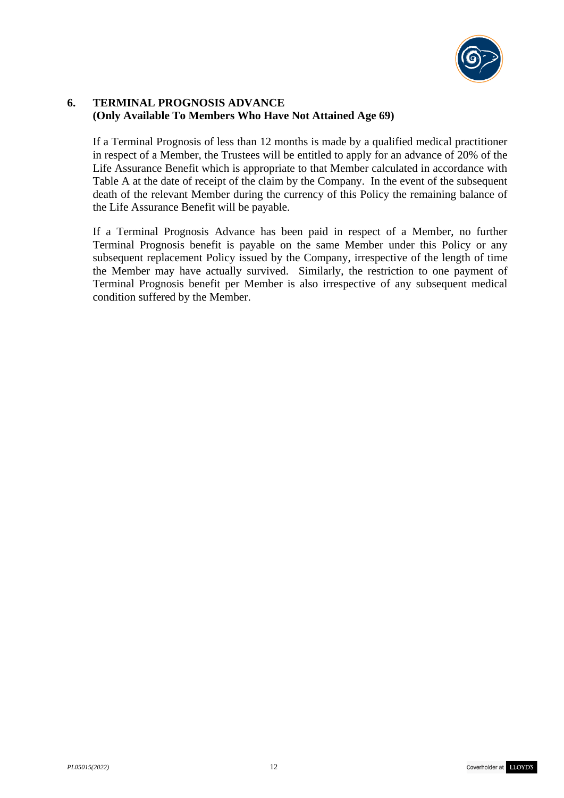

# **6. TERMINAL PROGNOSIS ADVANCE (Only Available To Members Who Have Not Attained Age 69)**

If a Terminal Prognosis of less than 12 months is made by a qualified medical practitioner in respect of a Member, the Trustees will be entitled to apply for an advance of 20% of the Life Assurance Benefit which is appropriate to that Member calculated in accordance with Table A at the date of receipt of the claim by the Company. In the event of the subsequent death of the relevant Member during the currency of this Policy the remaining balance of the Life Assurance Benefit will be payable.

If a Terminal Prognosis Advance has been paid in respect of a Member, no further Terminal Prognosis benefit is payable on the same Member under this Policy or any subsequent replacement Policy issued by the Company, irrespective of the length of time the Member may have actually survived. Similarly, the restriction to one payment of Terminal Prognosis benefit per Member is also irrespective of any subsequent medical condition suffered by the Member.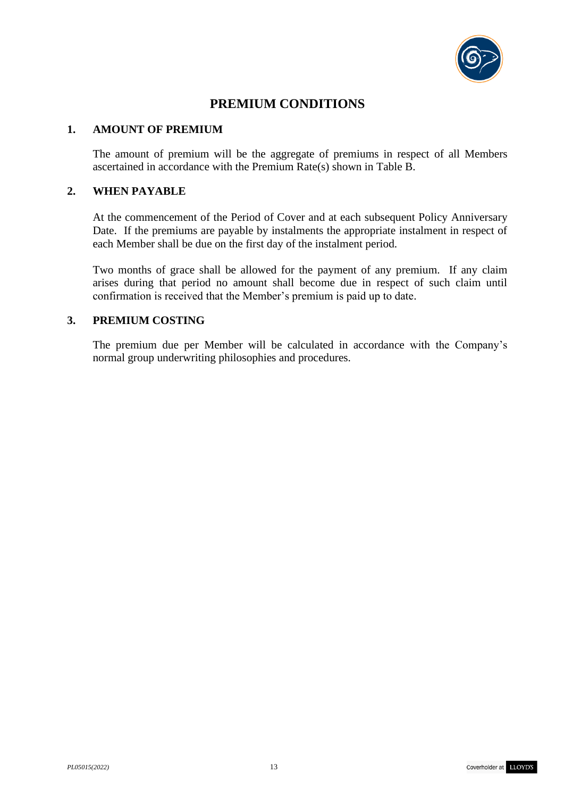

# **PREMIUM CONDITIONS**

#### **1. AMOUNT OF PREMIUM**

The amount of premium will be the aggregate of premiums in respect of all Members ascertained in accordance with the Premium Rate(s) shown in Table B.

### **2. WHEN PAYABLE**

At the commencement of the Period of Cover and at each subsequent Policy Anniversary Date. If the premiums are payable by instalments the appropriate instalment in respect of each Member shall be due on the first day of the instalment period.

Two months of grace shall be allowed for the payment of any premium. If any claim arises during that period no amount shall become due in respect of such claim until confirmation is received that the Member's premium is paid up to date.

#### **3. PREMIUM COSTING**

The premium due per Member will be calculated in accordance with the Company's normal group underwriting philosophies and procedures.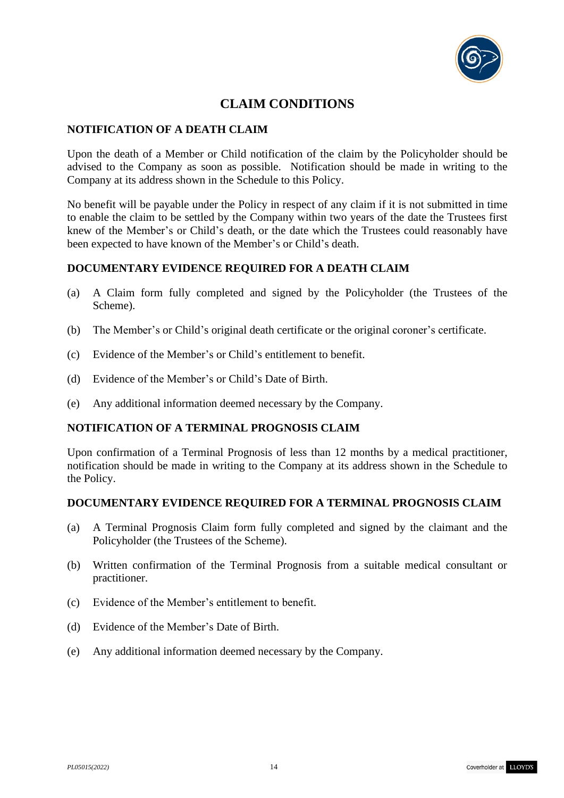

# **CLAIM CONDITIONS**

# **NOTIFICATION OF A DEATH CLAIM**

Upon the death of a Member or Child notification of the claim by the Policyholder should be advised to the Company as soon as possible. Notification should be made in writing to the Company at its address shown in the Schedule to this Policy.

No benefit will be payable under the Policy in respect of any claim if it is not submitted in time to enable the claim to be settled by the Company within two years of the date the Trustees first knew of the Member's or Child's death, or the date which the Trustees could reasonably have been expected to have known of the Member's or Child's death.

#### **DOCUMENTARY EVIDENCE REQUIRED FOR A DEATH CLAIM**

- (a) A Claim form fully completed and signed by the Policyholder (the Trustees of the Scheme).
- (b) The Member's or Child's original death certificate or the original coroner's certificate.
- (c) Evidence of the Member's or Child's entitlement to benefit.
- (d) Evidence of the Member's or Child's Date of Birth.
- (e) Any additional information deemed necessary by the Company.

#### **NOTIFICATION OF A TERMINAL PROGNOSIS CLAIM**

Upon confirmation of a Terminal Prognosis of less than 12 months by a medical practitioner, notification should be made in writing to the Company at its address shown in the Schedule to the Policy.

#### **DOCUMENTARY EVIDENCE REQUIRED FOR A TERMINAL PROGNOSIS CLAIM**

- (a) A Terminal Prognosis Claim form fully completed and signed by the claimant and the Policyholder (the Trustees of the Scheme).
- (b) Written confirmation of the Terminal Prognosis from a suitable medical consultant or practitioner.
- (c) Evidence of the Member's entitlement to benefit.
- (d) Evidence of the Member's Date of Birth.
- (e) Any additional information deemed necessary by the Company.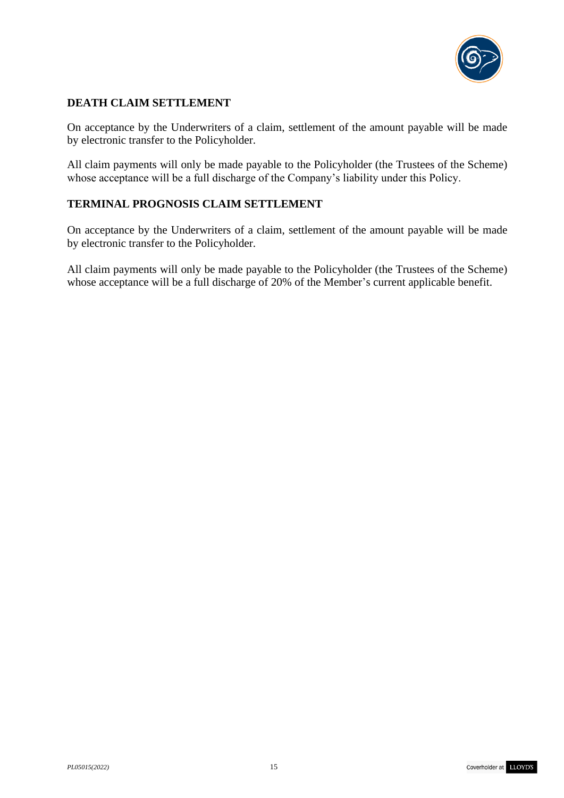

# **DEATH CLAIM SETTLEMENT**

On acceptance by the Underwriters of a claim, settlement of the amount payable will be made by electronic transfer to the Policyholder.

All claim payments will only be made payable to the Policyholder (the Trustees of the Scheme) whose acceptance will be a full discharge of the Company's liability under this Policy.

# **TERMINAL PROGNOSIS CLAIM SETTLEMENT**

On acceptance by the Underwriters of a claim, settlement of the amount payable will be made by electronic transfer to the Policyholder.

All claim payments will only be made payable to the Policyholder (the Trustees of the Scheme) whose acceptance will be a full discharge of 20% of the Member's current applicable benefit.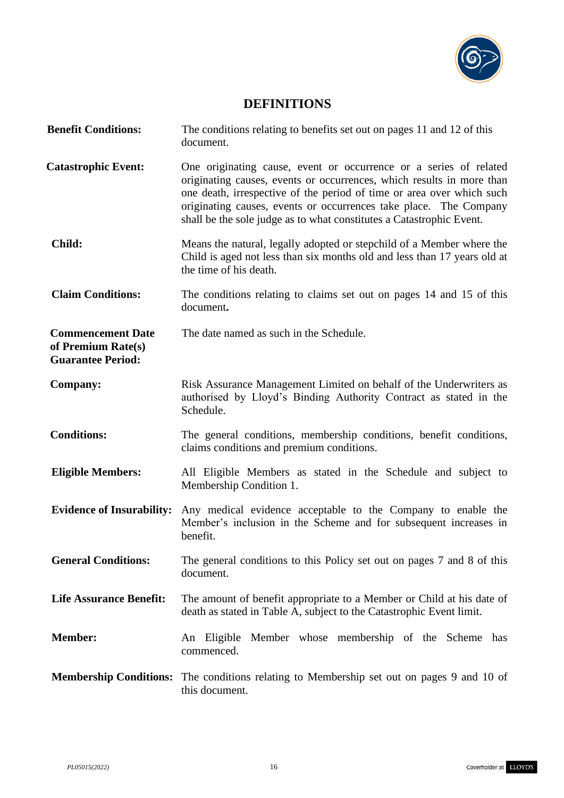

# **DEFINITIONS**

| <b>Benefit Conditions:</b>                                                 | The conditions relating to benefits set out on pages 11 and 12 of this<br>document.                                                                                                                                                                                                                                                                              |
|----------------------------------------------------------------------------|------------------------------------------------------------------------------------------------------------------------------------------------------------------------------------------------------------------------------------------------------------------------------------------------------------------------------------------------------------------|
| <b>Catastrophic Event:</b>                                                 | One originating cause, event or occurrence or a series of related<br>originating causes, events or occurrences, which results in more than<br>one death, irrespective of the period of time or area over which such<br>originating causes, events or occurrences take place. The Company<br>shall be the sole judge as to what constitutes a Catastrophic Event. |
| <b>Child:</b>                                                              | Means the natural, legally adopted or stepchild of a Member where the<br>Child is aged not less than six months old and less than 17 years old at<br>the time of his death.                                                                                                                                                                                      |
| <b>Claim Conditions:</b>                                                   | The conditions relating to claims set out on pages 14 and 15 of this<br>document.                                                                                                                                                                                                                                                                                |
| <b>Commencement Date</b><br>of Premium Rate(s)<br><b>Guarantee Period:</b> | The date named as such in the Schedule.                                                                                                                                                                                                                                                                                                                          |
| <b>Company:</b>                                                            | Risk Assurance Management Limited on behalf of the Underwriters as<br>authorised by Lloyd's Binding Authority Contract as stated in the<br>Schedule.                                                                                                                                                                                                             |
| <b>Conditions:</b>                                                         | The general conditions, membership conditions, benefit conditions,<br>claims conditions and premium conditions.                                                                                                                                                                                                                                                  |
| <b>Eligible Members:</b>                                                   | All Eligible Members as stated in the Schedule and subject to<br>Membership Condition 1.                                                                                                                                                                                                                                                                         |
| <b>Evidence of Insurability:</b>                                           | Any medical evidence acceptable to the Company to enable the<br>Member's inclusion in the Scheme and for subsequent increases in<br>benefit.                                                                                                                                                                                                                     |
| <b>General Conditions:</b>                                                 | The general conditions to this Policy set out on pages 7 and 8 of this<br>document.                                                                                                                                                                                                                                                                              |
| <b>Life Assurance Benefit:</b>                                             | The amount of benefit appropriate to a Member or Child at his date of<br>death as stated in Table A, subject to the Catastrophic Event limit.                                                                                                                                                                                                                    |
| <b>Member:</b>                                                             | An Eligible Member whose membership of the Scheme has<br>commenced.                                                                                                                                                                                                                                                                                              |
|                                                                            | <b>Membership Conditions:</b> The conditions relating to Membership set out on pages 9 and 10 of<br>this document.                                                                                                                                                                                                                                               |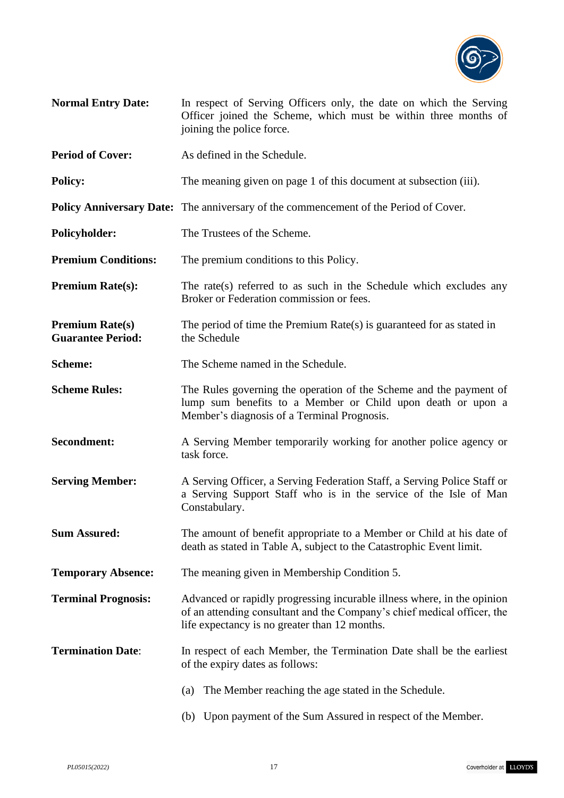

- **Normal Entry Date:** In respect of Serving Officers only, the date on which the Serving Officer joined the Scheme, which must be within three months of joining the police force.
- **Period of Cover:** As defined in the Schedule.
- **Policy:** The meaning given on page 1 of this document at subsection (iii).

**Policy Anniversary Date:** The anniversary of the commencement of the Period of Cover.

**Policyholder:** The Trustees of the Scheme.

**Premium Conditions:** The premium conditions to this Policy.

- **Premium Rate(s):** The rate(s) referred to as such in the Schedule which excludes any Broker or Federation commission or fees.
- **Premium Rate(s)** The period of time the Premium Rate(s) is guaranteed for as stated in **Guarantee Period:** the Schedule
- **Scheme:** The Scheme named in the Schedule.
- **Scheme Rules:** The Rules governing the operation of the Scheme and the payment of lump sum benefits to a Member or Child upon death or upon a Member's diagnosis of a Terminal Prognosis.
- **Secondment:** A Serving Member temporarily working for another police agency or task force.
- **Serving Member:** A Serving Officer, a Serving Federation Staff, a Serving Police Staff or a Serving Support Staff who is in the service of the Isle of Man Constabulary.
- **Sum Assured:** The amount of benefit appropriate to a Member or Child at his date of death as stated in Table A, subject to the Catastrophic Event limit.
- **Temporary Absence:** The meaning given in Membership Condition 5.
- **Terminal Prognosis:** Advanced or rapidly progressing incurable illness where, in the opinion of an attending consultant and the Company's chief medical officer, the life expectancy is no greater than 12 months.
- **Termination Date:** In respect of each Member, the Termination Date shall be the earliest of the expiry dates as follows:
	- (a) The Member reaching the age stated in the Schedule.
	- (b) Upon payment of the Sum Assured in respect of the Member.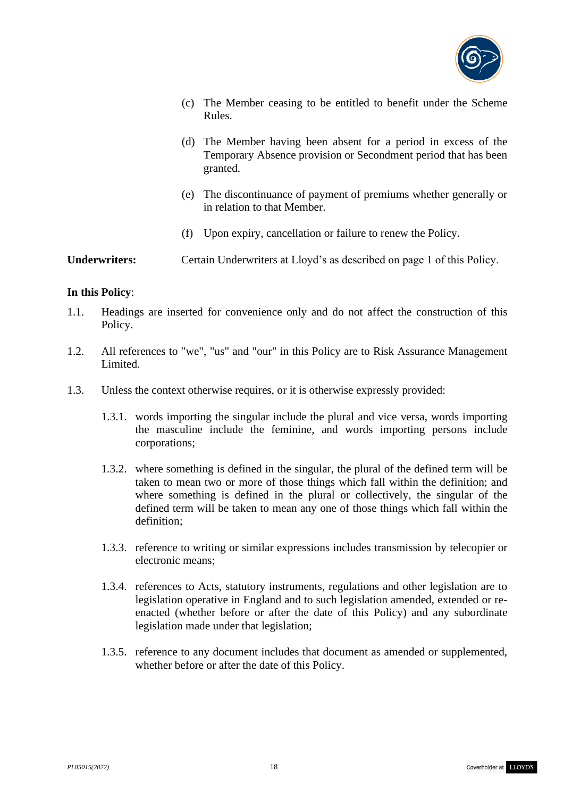

- (c) The Member ceasing to be entitled to benefit under the Scheme Rules.
- (d) The Member having been absent for a period in excess of the Temporary Absence provision or Secondment period that has been granted.
- (e) The discontinuance of payment of premiums whether generally or in relation to that Member.
- (f) Upon expiry, cancellation or failure to renew the Policy.

#### **Underwriters:** Certain Underwriters at Lloyd's as described on page 1 of this Policy.

#### **In this Policy**:

- 1.1. Headings are inserted for convenience only and do not affect the construction of this Policy.
- 1.2. All references to "we", "us" and "our" in this Policy are to Risk Assurance Management Limited.
- 1.3. Unless the context otherwise requires, or it is otherwise expressly provided:
	- 1.3.1. words importing the singular include the plural and vice versa, words importing the masculine include the feminine, and words importing persons include corporations;
	- 1.3.2. where something is defined in the singular, the plural of the defined term will be taken to mean two or more of those things which fall within the definition; and where something is defined in the plural or collectively, the singular of the defined term will be taken to mean any one of those things which fall within the definition;
	- 1.3.3. reference to writing or similar expressions includes transmission by telecopier or electronic means;
	- 1.3.4. references to Acts, statutory instruments, regulations and other legislation are to legislation operative in England and to such legislation amended, extended or reenacted (whether before or after the date of this Policy) and any subordinate legislation made under that legislation;
	- 1.3.5. reference to any document includes that document as amended or supplemented, whether before or after the date of this Policy.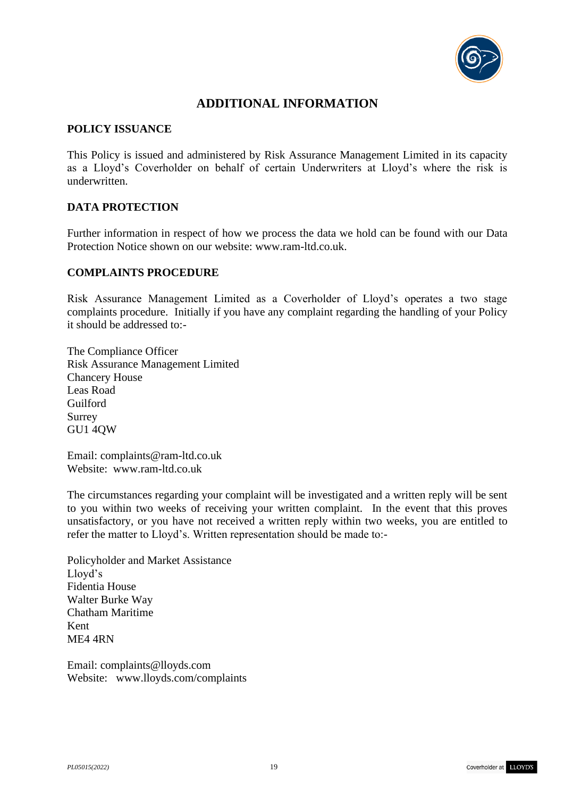

# **ADDITIONAL INFORMATION**

#### **POLICY ISSUANCE**

This Policy is issued and administered by Risk Assurance Management Limited in its capacity as a Lloyd's Coverholder on behalf of certain Underwriters at Lloyd's where the risk is underwritten.

#### **DATA PROTECTION**

Further information in respect of how we process the data we hold can be found with our Data Protection Notice shown on our website: www.ram-ltd.co.uk.

#### **COMPLAINTS PROCEDURE**

Risk Assurance Management Limited as a Coverholder of Lloyd's operates a two stage complaints procedure. Initially if you have any complaint regarding the handling of your Policy it should be addressed to:-

The Compliance Officer Risk Assurance Management Limited Chancery House Leas Road Guilford Surrey GU1 4QW

Email: [complaints@ram-ltd.co.uk](mailto:complaints@ram-ltd.co.uk) Website: www.ram-ltd.co.uk

The circumstances regarding your complaint will be investigated and a written reply will be sent to you within two weeks of receiving your written complaint. In the event that this proves unsatisfactory, or you have not received a written reply within two weeks, you are entitled to refer the matter to Lloyd's. Written representation should be made to:-

Policyholder and Market Assistance Lloyd's Fidentia House Walter Burke Way Chatham Maritime Kent ME4 4RN

Email: [complaints@lloyds.com](mailto:complaints@lloyds.com) Website: [www.lloyds.com/complaints](http://www.lloyds.com/complaints)